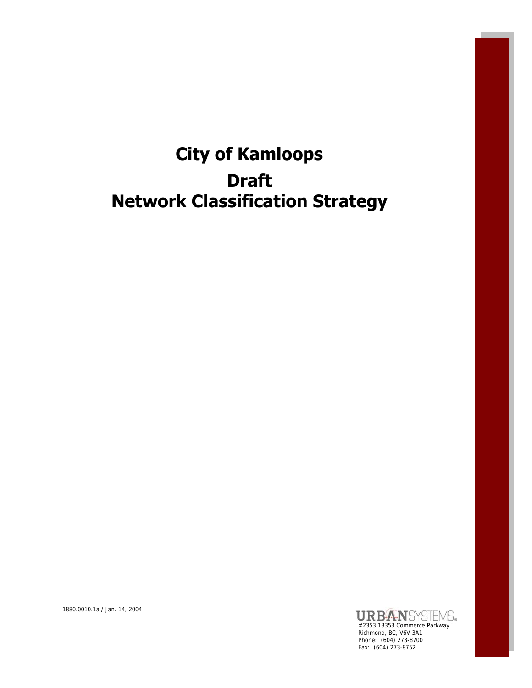# **City of Kamloops Draft Network Classification Strategy**

#2353 13353 Commerce Parkway Richmond, BC, V6V 3A1 Phone: (604) 273-8700 Fax: (604) 273-8752

1880.0010.1a / Jan. 14, 2004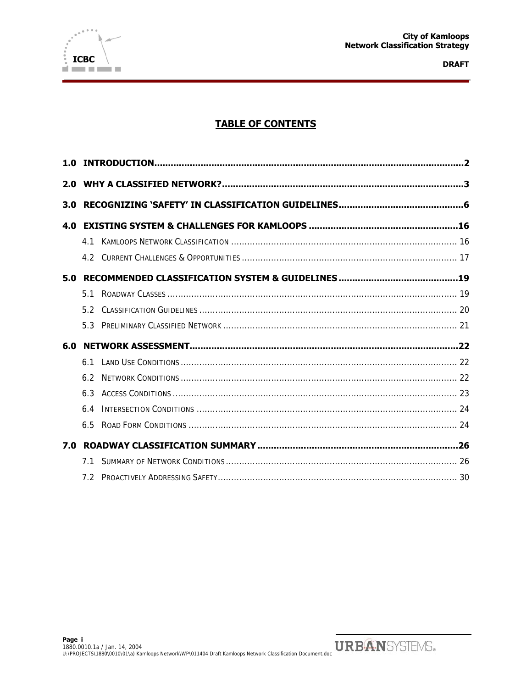

# **TABLE OF CONTENTS**

| 4 1 |  |
|-----|--|
| 42  |  |
|     |  |
| 51  |  |
| 52  |  |
| 53  |  |
|     |  |
| 6.1 |  |
| 62  |  |
| 6.3 |  |
| 6.4 |  |
| 65  |  |
|     |  |
| 71  |  |
| 72  |  |
|     |  |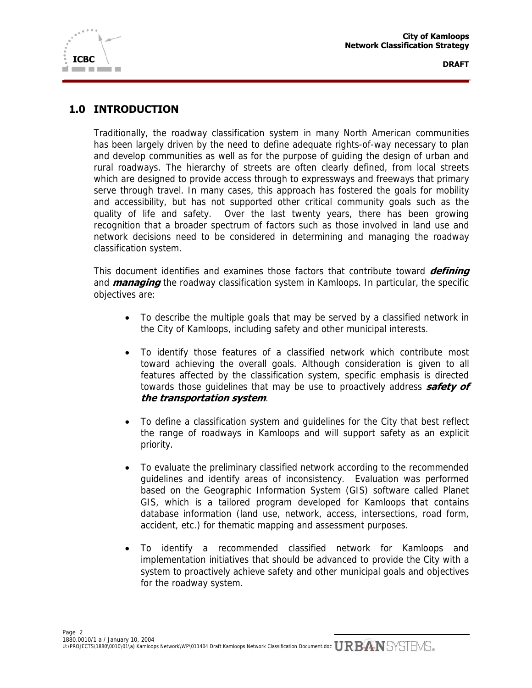

# **1.0 INTRODUCTION**

Traditionally, the roadway classification system in many North American communities has been largely driven by the need to define adequate rights-of-way necessary to plan and develop communities as well as for the purpose of guiding the design of urban and rural roadways. The hierarchy of streets are often clearly defined, from local streets which are designed to provide access through to expressways and freeways that primary serve through travel. In many cases, this approach has fostered the goals for mobility and accessibility, but has not supported other critical community goals such as the quality of life and safety. Over the last twenty years, there has been growing recognition that a broader spectrum of factors such as those involved in land use and network decisions need to be considered in determining and managing the roadway classification system.

This document identifies and examines those factors that contribute toward **defining** and **managing** the roadway classification system in Kamloops. In particular, the specific objectives are:

- To describe the multiple goals that may be served by a classified network in the City of Kamloops, including safety and other municipal interests.
- To identify those features of a classified network which contribute most toward achieving the overall goals. Although consideration is given to all features affected by the classification system, specific emphasis is directed towards those guidelines that may be use to proactively address **safety of the transportation system**.
- To define a classification system and guidelines for the City that best reflect the range of roadways in Kamloops and will support safety as an explicit priority.
- To evaluate the preliminary classified network according to the recommended guidelines and identify areas of inconsistency. Evaluation was performed based on the Geographic Information System (GIS) software called Planet GIS, which is a tailored program developed for Kamloops that contains database information (land use, network, access, intersections, road form, accident, etc.) for thematic mapping and assessment purposes.
- To identify a recommended classified network for Kamloops and implementation initiatives that should be advanced to provide the City with a system to proactively achieve safety and other municipal goals and objectives for the roadway system.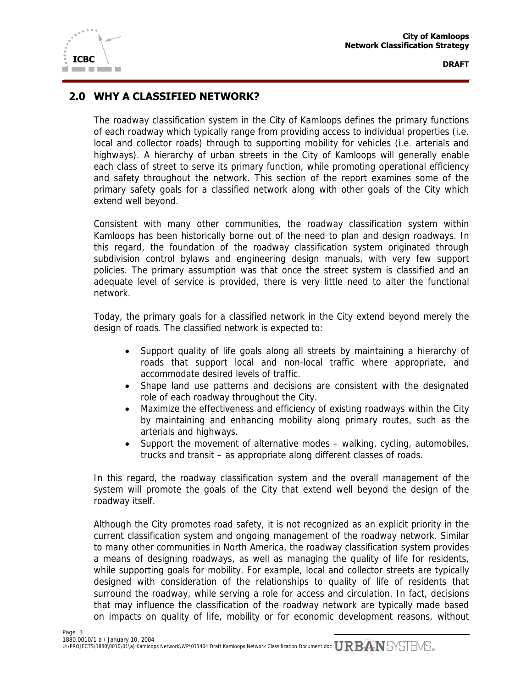

# **2.0 WHY A CLASSIFIED NETWORK?**

The roadway classification system in the City of Kamloops defines the primary functions of each roadway which typically range from providing access to individual properties (i.e. local and collector roads) through to supporting mobility for vehicles (i.e. arterials and highways). A hierarchy of urban streets in the City of Kamloops will generally enable each class of street to serve its primary function, while promoting operational efficiency and safety throughout the network. This section of the report examines some of the primary safety goals for a classified network along with other goals of the City which extend well beyond.

Consistent with many other communities, the roadway classification system within Kamloops has been historically borne out of the need to plan and design roadways. In this regard, the foundation of the roadway classification system originated through subdivision control bylaws and engineering design manuals, with very few support policies. The primary assumption was that once the street system is classified and an adequate level of service is provided, there is very little need to alter the functional network.

Today, the primary goals for a classified network in the City extend beyond merely the design of roads. The classified network is expected to:

- Support quality of life goals along all streets by maintaining a hierarchy of roads that support local and non-local traffic where appropriate, and accommodate desired levels of traffic.
- Shape land use patterns and decisions are consistent with the designated role of each roadway throughout the City.
- Maximize the effectiveness and efficiency of existing roadways within the City by maintaining and enhancing mobility along primary routes, such as the arterials and highways.
- Support the movement of alternative modes walking, cycling, automobiles, trucks and transit – as appropriate along different classes of roads.

In this regard, the roadway classification system and the overall management of the system will promote the goals of the City that extend well beyond the design of the roadway itself.

Although the City promotes road safety, it is not recognized as an explicit priority in the current classification system and ongoing management of the roadway network. Similar to many other communities in North America, the roadway classification system provides a means of designing roadways, as well as managing the quality of life for residents, while supporting goals for mobility. For example, local and collector streets are typically designed with consideration of the relationships to quality of life of residents that surround the roadway, while serving a role for access and circulation. In fact, decisions that may influence the classification of the roadway network are typically made based on impacts on quality of life, mobility or for economic development reasons, without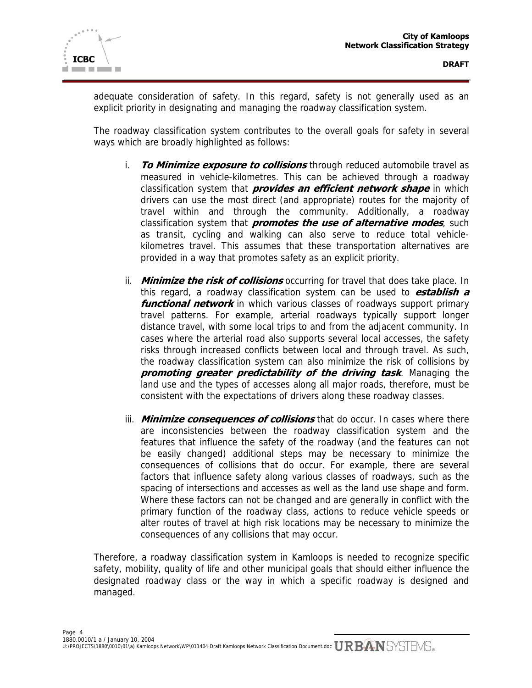

adequate consideration of safety. In this regard, safety is not generally used as an explicit priority in designating and managing the roadway classification system.

The roadway classification system contributes to the overall goals for safety in several ways which are broadly highlighted as follows:

- i. **To Minimize exposure to collisions** through reduced automobile travel as measured in vehicle-kilometres. This can be achieved through a roadway classification system that **provides an efficient network shape** in which drivers can use the most direct (and appropriate) routes for the majority of travel within and through the community. Additionally, a roadway classification system that **promotes the use of alternative modes**, such as transit, cycling and walking can also serve to reduce total vehiclekilometres travel. This assumes that these transportation alternatives are provided in a way that promotes safety as an explicit priority.
- ii. **Minimize the risk of collisions** occurring for travel that does take place. In this regard, a roadway classification system can be used to **establish a**  *functional network* in which various classes of roadways support primary travel patterns. For example, arterial roadways typically support longer distance travel, with some local trips to and from the adjacent community. In cases where the arterial road also supports several local accesses, the safety risks through increased conflicts between local and through travel. As such, the roadway classification system can also minimize the risk of collisions by **promoting greater predictability of the driving task**. Managing the land use and the types of accesses along all major roads, therefore, must be consistent with the expectations of drivers along these roadway classes.
- iii. **Minimize consequences of collisions** that do occur. In cases where there are inconsistencies between the roadway classification system and the features that influence the safety of the roadway (and the features can not be easily changed) additional steps may be necessary to minimize the consequences of collisions that do occur. For example, there are several factors that influence safety along various classes of roadways, such as the spacing of intersections and accesses as well as the land use shape and form. Where these factors can not be changed and are generally in conflict with the primary function of the roadway class, actions to reduce vehicle speeds or alter routes of travel at high risk locations may be necessary to minimize the consequences of any collisions that may occur.

Therefore, a roadway classification system in Kamloops is needed to recognize specific safety, mobility, quality of life and other municipal goals that should either influence the designated roadway class or the way in which a specific roadway is designed and managed.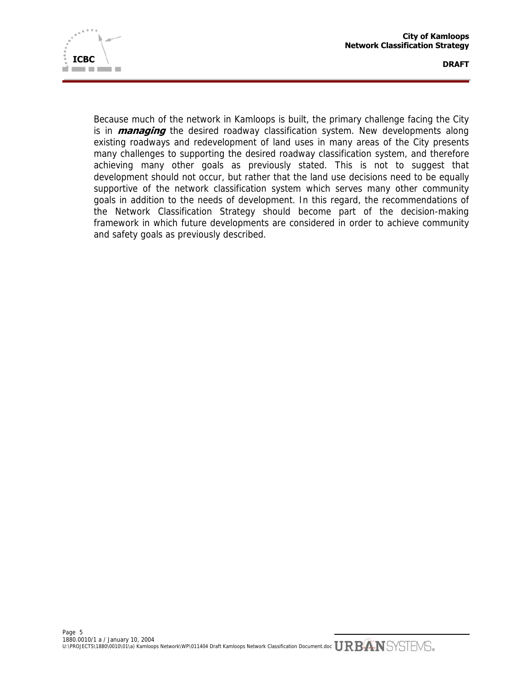

Because much of the network in Kamloops is built, the primary challenge facing the City is in **managing** the desired roadway classification system. New developments along existing roadways and redevelopment of land uses in many areas of the City presents many challenges to supporting the desired roadway classification system, and therefore achieving many other goals as previously stated. This is not to suggest that development should not occur, but rather that the land use decisions need to be equally supportive of the network classification system which serves many other community goals in addition to the needs of development. In this regard, the recommendations of the Network Classification Strategy should become part of the decision-making framework in which future developments are considered in order to achieve community and safety goals as previously described.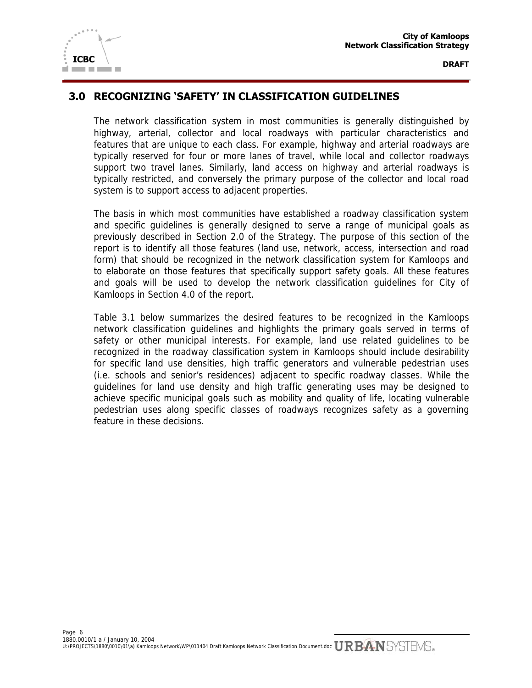

# **3.0 RECOGNIZING 'SAFETY' IN CLASSIFICATION GUIDELINES**

The network classification system in most communities is generally distinguished by highway, arterial, collector and local roadways with particular characteristics and features that are unique to each class. For example, highway and arterial roadways are typically reserved for four or more lanes of travel, while local and collector roadways support two travel lanes. Similarly, land access on highway and arterial roadways is typically restricted, and conversely the primary purpose of the collector and local road system is to support access to adjacent properties.

The basis in which most communities have established a roadway classification system and specific guidelines is generally designed to serve a range of municipal goals as previously described in Section 2.0 of the Strategy. The purpose of this section of the report is to identify all those features (land use, network, access, intersection and road form) that should be recognized in the network classification system for Kamloops and to elaborate on those features that specifically support safety goals. All these features and goals will be used to develop the network classification guidelines for City of Kamloops in Section 4.0 of the report.

Table 3.1 below summarizes the desired features to be recognized in the Kamloops network classification guidelines and highlights the primary goals served in terms of safety or other municipal interests. For example, land use related guidelines to be recognized in the roadway classification system in Kamloops should include desirability for specific land use densities, high traffic generators and vulnerable pedestrian uses (i.e. schools and senior's residences) adjacent to specific roadway classes. While the guidelines for land use density and high traffic generating uses may be designed to achieve specific municipal goals such as mobility and quality of life, locating vulnerable pedestrian uses along specific classes of roadways recognizes safety as a governing feature in these decisions.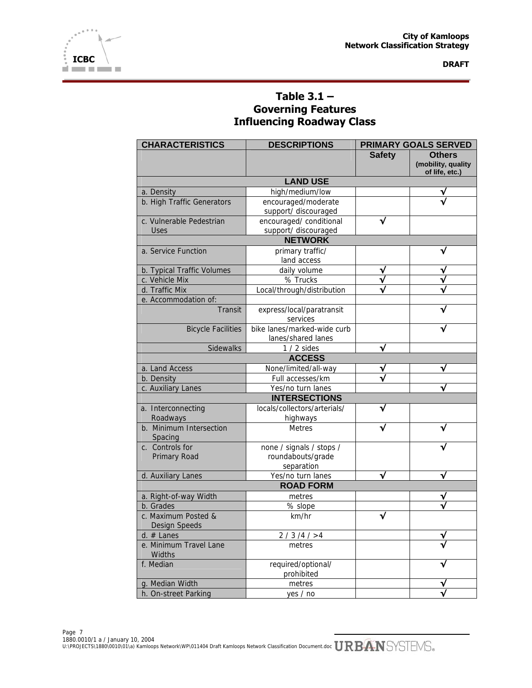

# **Table 3.1 – Governing Features Influencing Roadway Class**

| <b>CHARACTERISTICS</b>                      | <b>DESCRIPTIONS</b>                                         |               | <b>PRIMARY GOALS SERVED</b>                           |
|---------------------------------------------|-------------------------------------------------------------|---------------|-------------------------------------------------------|
|                                             |                                                             | <b>Safety</b> | <b>Others</b><br>(mobility, quality<br>of life, etc.) |
|                                             | <b>LAND USE</b>                                             |               |                                                       |
| a. Density                                  | high/medium/low                                             |               |                                                       |
| b. High Traffic Generators                  | encouraged/moderate<br>support/ discouraged                 |               |                                                       |
| c. Vulnerable Pedestrian<br><b>Uses</b>     | encouraged/ conditional<br>support/ discouraged             |               |                                                       |
|                                             | <b>NETWORK</b>                                              |               |                                                       |
| a. Service Function                         | primary traffic/<br>land access                             |               |                                                       |
| b. Typical Traffic Volumes                  | daily volume                                                | ν             |                                                       |
| c. Vehicle Mix                              | % Trucks                                                    |               |                                                       |
| d. Traffic Mix                              | Local/through/distribution                                  |               |                                                       |
| e. Accommodation of:                        |                                                             |               |                                                       |
| <b>Transit</b>                              | express/local/paratransit<br>services                       |               |                                                       |
| <b>Bicycle Facilities</b>                   | bike lanes/marked-wide curb<br>lanes/shared lanes           |               |                                                       |
| Sidewalks                                   | $1/2$ sides                                                 | √             |                                                       |
|                                             | <b>ACCESS</b>                                               |               |                                                       |
| a. Land Access                              | None/limited/all-way                                        | √             |                                                       |
| b. Density                                  | Full accesses/km                                            |               |                                                       |
| c. Auxiliary Lanes                          | Yes/no turn lanes                                           |               | √                                                     |
|                                             | <b>INTERSECTIONS</b>                                        |               |                                                       |
| a. Interconnecting<br>Roadways              | locals/collectors/arterials/<br>highways                    |               |                                                       |
| b. Minimum Intersection<br>Spacing          | <b>Metres</b>                                               |               |                                                       |
| c. Controls for<br>Primary Road             | none / signals / stops /<br>roundabouts/grade<br>separation |               |                                                       |
| d. Auxiliary Lanes                          | Yes/no turn lanes                                           | √             |                                                       |
|                                             | <b>ROAD FORM</b>                                            |               |                                                       |
| a. Right-of-way Width                       | metres                                                      |               | ν                                                     |
| b. Grades                                   | % slope                                                     |               |                                                       |
| c. Maximum Posted &<br><b>Design Speeds</b> | km/hr                                                       |               |                                                       |
| $d.$ # Lanes                                | 2 / 3 / 4 / > 4                                             |               |                                                       |
| e. Minimum Travel Lane<br><b>Widths</b>     | metres                                                      |               |                                                       |
| f. Median                                   | required/optional/<br>prohibited                            |               |                                                       |
| g. Median Width                             | metres                                                      |               |                                                       |
| h. On-street Parking                        | yes / no                                                    |               |                                                       |

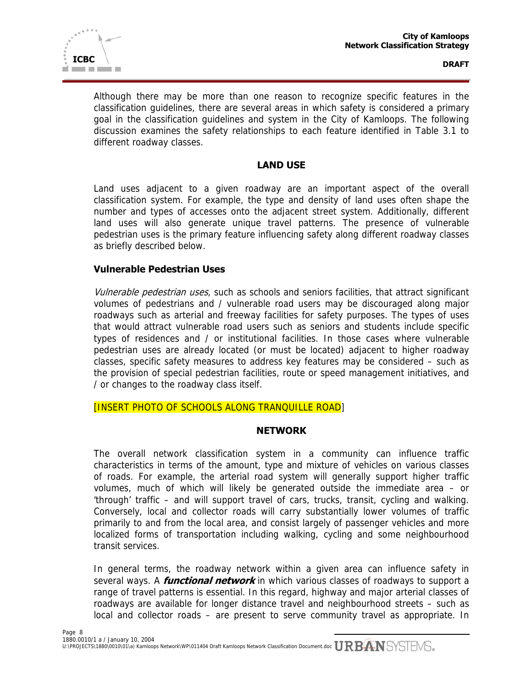

Although there may be more than one reason to recognize specific features in the classification guidelines, there are several areas in which safety is considered a primary goal in the classification guidelines and system in the City of Kamloops. The following discussion examines the safety relationships to each feature identified in Table 3.1 to different roadway classes.

#### **LAND USE**

Land uses adjacent to a given roadway are an important aspect of the overall classification system. For example, the type and density of land uses often shape the number and types of accesses onto the adjacent street system. Additionally, different land uses will also generate unique travel patterns. The presence of vulnerable pedestrian uses is the primary feature influencing safety along different roadway classes as briefly described below.

#### **Vulnerable Pedestrian Uses**

Vulnerable pedestrian uses, such as schools and seniors facilities, that attract significant volumes of pedestrians and / vulnerable road users may be discouraged along major roadways such as arterial and freeway facilities for safety purposes. The types of uses that would attract vulnerable road users such as seniors and students include specific types of residences and / or institutional facilities. In those cases where vulnerable pedestrian uses are already located (or must be located) adjacent to higher roadway classes, specific safety measures to address key features may be considered – such as the provision of special pedestrian facilities, route or speed management initiatives, and / or changes to the roadway class itself.

[INSERT PHOTO OF SCHOOLS ALONG TRANQUILLE ROAD]

#### **NETWORK**

The overall network classification system in a community can influence traffic characteristics in terms of the amount, type and mixture of vehicles on various classes of roads. For example, the arterial road system will generally support higher traffic volumes, much of which will likely be generated outside the immediate area – or 'through' traffic – and will support travel of cars, trucks, transit, cycling and walking. Conversely, local and collector roads will carry substantially lower volumes of traffic primarily to and from the local area, and consist largely of passenger vehicles and more localized forms of transportation including walking, cycling and some neighbourhood transit services.

In general terms, the roadway network within a given area can influence safety in several ways. A **functional network** in which various classes of roadways to support a range of travel patterns is essential. In this regard, highway and major arterial classes of roadways are available for longer distance travel and neighbourhood streets – such as local and collector roads – are present to serve community travel as appropriate. In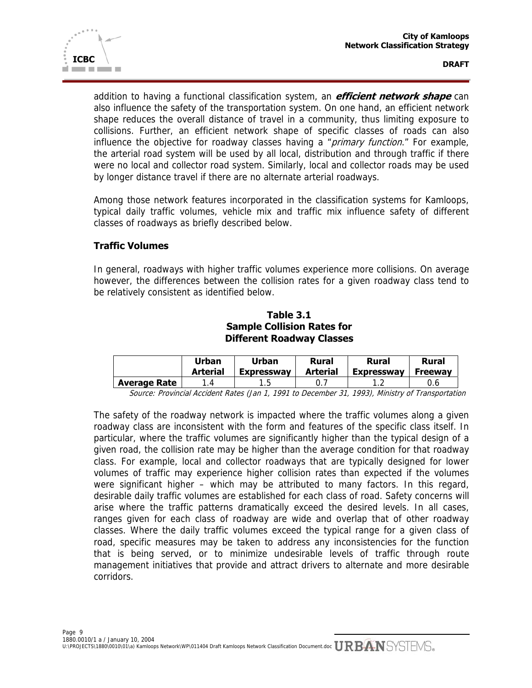

addition to having a functional classification system, an **efficient network shape** can also influence the safety of the transportation system. On one hand, an efficient network shape reduces the overall distance of travel in a community, thus limiting exposure to collisions. Further, an efficient network shape of specific classes of roads can also influence the objective for roadway classes having a "primary function." For example, the arterial road system will be used by all local, distribution and through traffic if there were no local and collector road system. Similarly, local and collector roads may be used by longer distance travel if there are no alternate arterial roadways.

Among those network features incorporated in the classification systems for Kamloops, typical daily traffic volumes, vehicle mix and traffic mix influence safety of different classes of roadways as briefly described below.

# **Traffic Volumes**

In general, roadways with higher traffic volumes experience more collisions. On average however, the differences between the collision rates for a given roadway class tend to be relatively consistent as identified below.

## **Table 3.1 Sample Collision Rates for Different Roadway Classes**

|                     | Urban           | Urban             | Rural           | <b>Rural</b>      | <b>Rural</b>   |
|---------------------|-----------------|-------------------|-----------------|-------------------|----------------|
|                     | <b>Arterial</b> | <b>Expressway</b> | <b>Arterial</b> | <b>Expressway</b> | <b>Freeway</b> |
| <b>Average Rate</b> |                 |                   |                 |                   | 0.6            |

Source: Provincial Accident Rates (Jan 1, 1991 to December 31, 1993), Ministry of Transportation

The safety of the roadway network is impacted where the traffic volumes along a given roadway class are inconsistent with the form and features of the specific class itself. In particular, where the traffic volumes are significantly higher than the typical design of a given road, the collision rate may be higher than the average condition for that roadway class. For example, local and collector roadways that are typically designed for lower volumes of traffic may experience higher collision rates than expected if the volumes were significant higher – which may be attributed to many factors. In this regard, desirable daily traffic volumes are established for each class of road. Safety concerns will arise where the traffic patterns dramatically exceed the desired levels. In all cases, ranges given for each class of roadway are wide and overlap that of other roadway classes. Where the daily traffic volumes exceed the typical range for a given class of road, specific measures may be taken to address any inconsistencies for the function that is being served, or to minimize undesirable levels of traffic through route management initiatives that provide and attract drivers to alternate and more desirable corridors.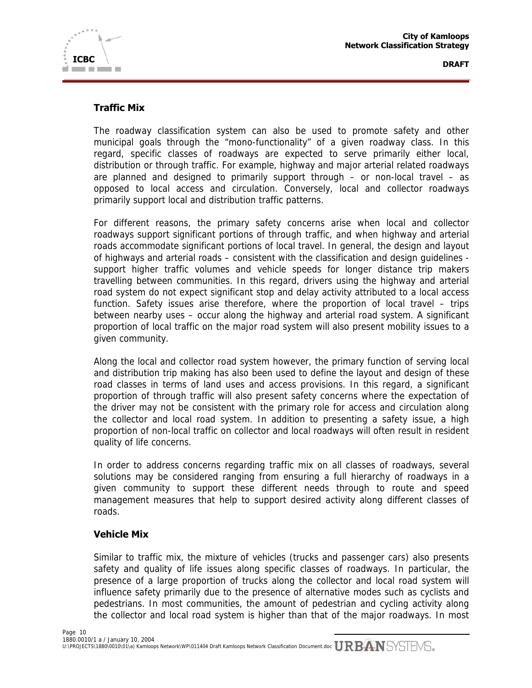

# **Traffic Mix**

The roadway classification system can also be used to promote safety and other municipal goals through the "mono-functionality" of a given roadway class. In this regard, specific classes of roadways are expected to serve primarily either local, distribution or through traffic. For example, highway and major arterial related roadways are planned and designed to primarily support through – or non-local travel – as opposed to local access and circulation. Conversely, local and collector roadways primarily support local and distribution traffic patterns.

For different reasons, the primary safety concerns arise when local and collector roadways support significant portions of through traffic, and when highway and arterial roads accommodate significant portions of local travel. In general, the design and layout of highways and arterial roads – consistent with the classification and design guidelines support higher traffic volumes and vehicle speeds for longer distance trip makers travelling between communities. In this regard, drivers using the highway and arterial road system do not expect significant stop and delay activity attributed to a local access function. Safety issues arise therefore, where the proportion of local travel – trips between nearby uses – occur along the highway and arterial road system. A significant proportion of local traffic on the major road system will also present mobility issues to a given community.

Along the local and collector road system however, the primary function of serving local and distribution trip making has also been used to define the layout and design of these road classes in terms of land uses and access provisions. In this regard, a significant proportion of through traffic will also present safety concerns where the expectation of the driver may not be consistent with the primary role for access and circulation along the collector and local road system. In addition to presenting a safety issue, a high proportion of non-local traffic on collector and local roadways will often result in resident quality of life concerns.

In order to address concerns regarding traffic mix on all classes of roadways, several solutions may be considered ranging from ensuring a full hierarchy of roadways in a given community to support these different needs through to route and speed management measures that help to support desired activity along different classes of roads.

## **Vehicle Mix**

Similar to traffic mix, the mixture of vehicles (trucks and passenger cars) also presents safety and quality of life issues along specific classes of roadways. In particular, the presence of a large proportion of trucks along the collector and local road system will influence safety primarily due to the presence of alternative modes such as cyclists and pedestrians. In most communities, the amount of pedestrian and cycling activity along the collector and local road system is higher than that of the major roadways. In most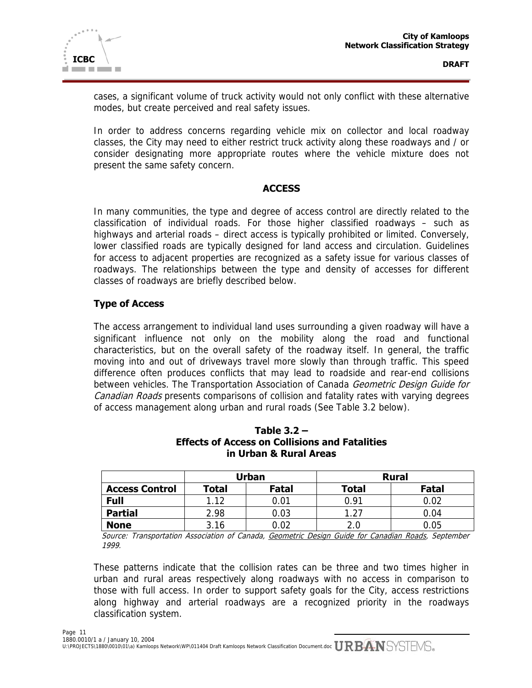

cases, a significant volume of truck activity would not only conflict with these alternative modes, but create perceived and real safety issues.

In order to address concerns regarding vehicle mix on collector and local roadway classes, the City may need to either restrict truck activity along these roadways and / or consider designating more appropriate routes where the vehicle mixture does not present the same safety concern.

#### **ACCESS**

In many communities, the type and degree of access control are directly related to the classification of individual roads. For those higher classified roadways – such as highways and arterial roads – direct access is typically prohibited or limited. Conversely, lower classified roads are typically designed for land access and circulation. Guidelines for access to adjacent properties are recognized as a safety issue for various classes of roadways. The relationships between the type and density of accesses for different classes of roadways are briefly described below.

# **Type of Access**

The access arrangement to individual land uses surrounding a given roadway will have a significant influence not only on the mobility along the road and functional characteristics, but on the overall safety of the roadway itself. In general, the traffic moving into and out of driveways travel more slowly than through traffic. This speed difference often produces conflicts that may lead to roadside and rear-end collisions between vehicles. The Transportation Association of Canada Geometric Design Guide for Canadian Roads presents comparisons of collision and fatality rates with varying degrees of access management along urban and rural roads (See Table 3.2 below).

|                       | Urban |       |              | <b>Rural</b> |
|-----------------------|-------|-------|--------------|--------------|
| <b>Access Control</b> | Total | Fatal | <b>Total</b> | Fatal        |
| <b>Full</b>           | 1.12  | 0.01  | በ 91         | 0.02         |
| <b>Partial</b>        | 2.98  | 0.03  | 1.27         | 0.04         |
| <b>None</b>           | 3.16  | 02. ( | 2.0          | 0.05         |

# **Table 3.2 – Effects of Access on Collisions and Fatalities in Urban & Rural Areas**

Source: Transportation Association of Canada, Geometric Design Guide for Canadian Roads, September 1999.

These patterns indicate that the collision rates can be three and two times higher in urban and rural areas respectively along roadways with no access in comparison to those with full access. In order to support safety goals for the City, access restrictions along highway and arterial roadways are a recognized priority in the roadways classification system.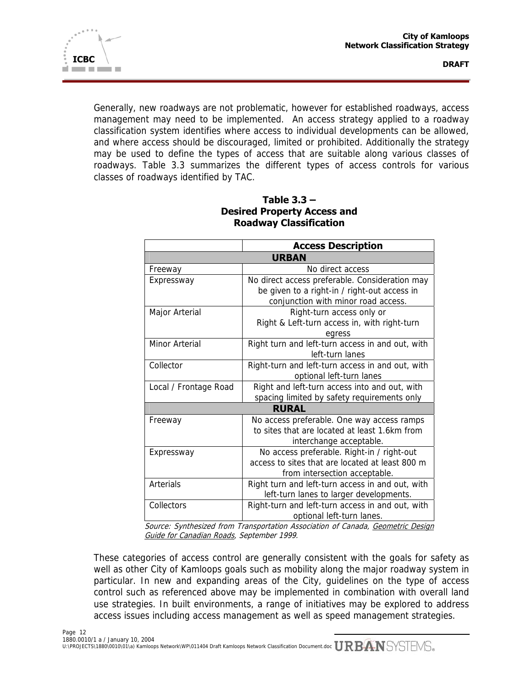

Generally, new roadways are not problematic, however for established roadways, access management may need to be implemented. An access strategy applied to a roadway classification system identifies where access to individual developments can be allowed, and where access should be discouraged, limited or prohibited. Additionally the strategy may be used to define the types of access that are suitable along various classes of roadways. Table 3.3 summarizes the different types of access controls for various classes of roadways identified by TAC.

|                       | <b>Access Description</b>                        |
|-----------------------|--------------------------------------------------|
|                       | <b>URBAN</b>                                     |
| Freeway               | No direct access                                 |
| Expressway            | No direct access preferable. Consideration may   |
|                       | be given to a right-in / right-out access in     |
|                       | conjunction with minor road access.              |
| Major Arterial        | Right-turn access only or                        |
|                       | Right & Left-turn access in, with right-turn     |
|                       | egress                                           |
| Minor Arterial        | Right turn and left-turn access in and out, with |
|                       | left-turn lanes                                  |
| Collector             | Right-turn and left-turn access in and out, with |
|                       | optional left-turn lanes                         |
| Local / Frontage Road | Right and left-turn access into and out, with    |
|                       | spacing limited by safety requirements only      |
|                       | <b>RURAL</b>                                     |
| Freeway               | No access preferable. One way access ramps       |
|                       | to sites that are located at least 1.6km from    |
|                       | interchange acceptable.                          |
| Expressway            | No access preferable. Right-in / right-out       |
|                       | access to sites that are located at least 800 m  |
|                       | from intersection acceptable.                    |
| Arterials             | Right turn and left-turn access in and out, with |
|                       | left-turn lanes to larger developments.          |
| Collectors            | Right-turn and left-turn access in and out, with |
|                       | optional left-turn lanes.                        |

# **Table 3.3 – Desired Property Access and Roadway Classification**

Source: Synthesized from Transportation Association of Canada, Geometric Design Guide for Canadian Roads, September 1999.

These categories of access control are generally consistent with the goals for safety as well as other City of Kamloops goals such as mobility along the major roadway system in particular. In new and expanding areas of the City, guidelines on the type of access control such as referenced above may be implemented in combination with overall land use strategies. In built environments, a range of initiatives may be explored to address access issues including access management as well as speed management strategies.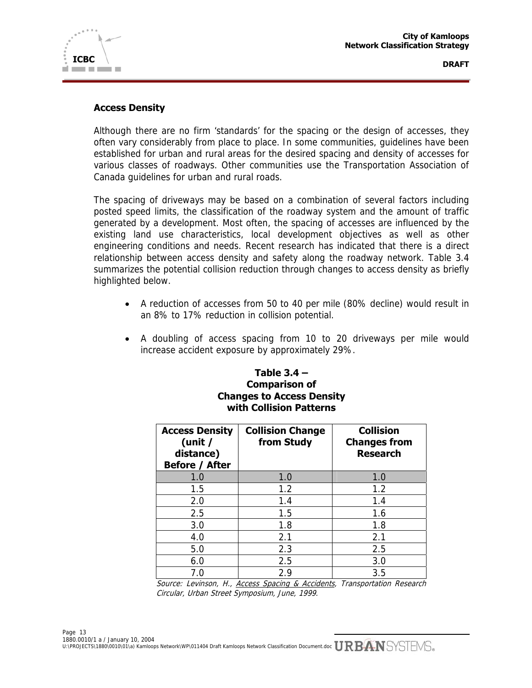

## **Access Density**

Although there are no firm 'standards' for the spacing or the design of accesses, they often vary considerably from place to place. In some communities, guidelines have been established for urban and rural areas for the desired spacing and density of accesses for various classes of roadways. Other communities use the Transportation Association of Canada guidelines for urban and rural roads.

The spacing of driveways may be based on a combination of several factors including posted speed limits, the classification of the roadway system and the amount of traffic generated by a development. Most often, the spacing of accesses are influenced by the existing land use characteristics, local development objectives as well as other engineering conditions and needs. Recent research has indicated that there is a direct relationship between access density and safety along the roadway network. Table 3.4 summarizes the potential collision reduction through changes to access density as briefly highlighted below.

- A reduction of accesses from 50 to 40 per mile (80% decline) would result in an 8% to 17% reduction in collision potential.
- A doubling of access spacing from 10 to 20 driveways per mile would increase accident exposure by approximately 29%.

# **Table 3.4 – Comparison of Changes to Access Density with Collision Patterns**

| <b>Access Density</b><br>(unit $/$<br>distance)<br><b>Before / After</b> | <b>Collision Change</b><br>from Study | <b>Collision</b><br><b>Changes from</b><br><b>Research</b> |
|--------------------------------------------------------------------------|---------------------------------------|------------------------------------------------------------|
| 1.0                                                                      | 1.0                                   | 1.0                                                        |
| 1.5                                                                      | 1.2                                   | 1.2                                                        |
| 2.0                                                                      | 1.4                                   | 1.4                                                        |
| 2.5                                                                      | 1.5                                   | 1.6                                                        |
| 3.0                                                                      | 1.8                                   | 1.8                                                        |
| 4.0                                                                      | 2.1                                   | 2.1                                                        |
| 5.0                                                                      | 2.3                                   | 2.5                                                        |
| 6.0                                                                      | 2.5                                   | 3.0                                                        |
| 7.0                                                                      | 2.9                                   | 3.5                                                        |

Source: Levinson, H., Access Spacing & Accidents, Transportation Research Circular, Urban Street Symposium, June, 1999.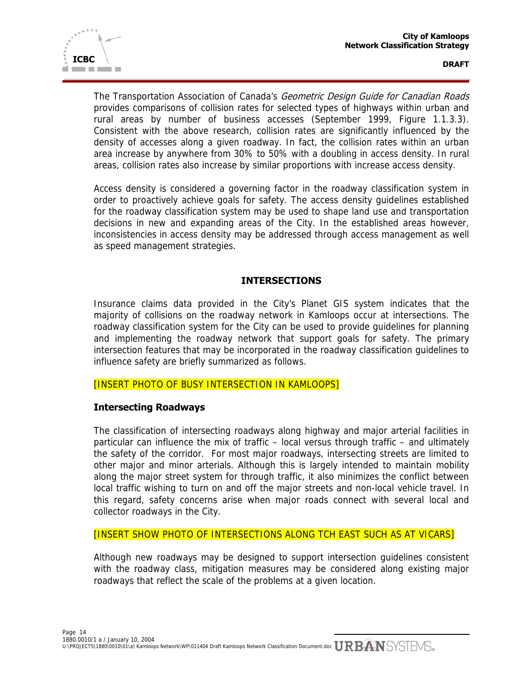

The Transportation Association of Canada's Geometric Design Guide for Canadian Roads provides comparisons of collision rates for selected types of highways within urban and rural areas by number of business accesses (September 1999, Figure 1.1.3.3). Consistent with the above research, collision rates are significantly influenced by the density of accesses along a given roadway. In fact, the collision rates within an urban area increase by anywhere from 30% to 50% with a doubling in access density. In rural areas, collision rates also increase by similar proportions with increase access density.

Access density is considered a governing factor in the roadway classification system in order to proactively achieve goals for safety. The access density guidelines established for the roadway classification system may be used to shape land use and transportation decisions in new and expanding areas of the City. In the established areas however, inconsistencies in access density may be addressed through access management as well as speed management strategies.

# **INTERSECTIONS**

Insurance claims data provided in the City's Planet GIS system indicates that the majority of collisions on the roadway network in Kamloops occur at intersections. The roadway classification system for the City can be used to provide guidelines for planning and implementing the roadway network that support goals for safety. The primary intersection features that may be incorporated in the roadway classification guidelines to influence safety are briefly summarized as follows.

## [INSERT PHOTO OF BUSY INTERSECTION IN KAMLOOPS]

## **Intersecting Roadways**

The classification of intersecting roadways along highway and major arterial facilities in particular can influence the mix of traffic – local versus through traffic – and ultimately the safety of the corridor. For most major roadways, intersecting streets are limited to other major and minor arterials. Although this is largely intended to maintain mobility along the major street system for through traffic, it also minimizes the conflict between local traffic wishing to turn on and off the major streets and non-local vehicle travel. In this regard, safety concerns arise when major roads connect with several local and collector roadways in the City.

#### [INSERT SHOW PHOTO OF INTERSECTIONS ALONG TCH EAST SUCH AS AT VICARS]

Although new roadways may be designed to support intersection guidelines consistent with the roadway class, mitigation measures may be considered along existing major roadways that reflect the scale of the problems at a given location.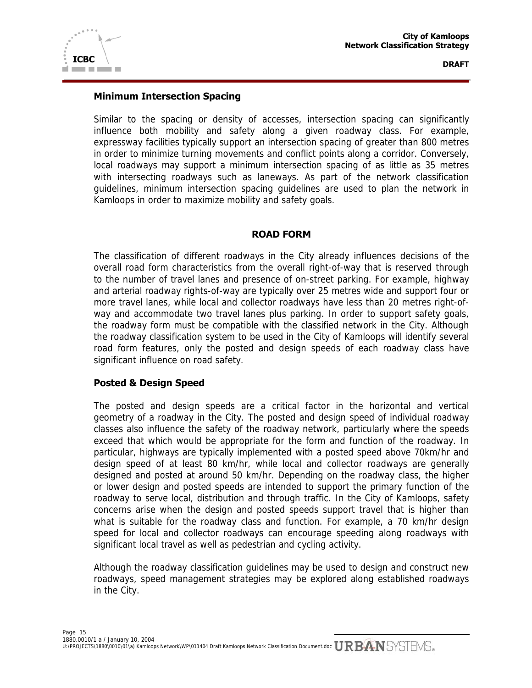

#### **Minimum Intersection Spacing**

Similar to the spacing or density of accesses, intersection spacing can significantly influence both mobility and safety along a given roadway class. For example, expressway facilities typically support an intersection spacing of greater than 800 metres in order to minimize turning movements and conflict points along a corridor. Conversely, local roadways may support a minimum intersection spacing of as little as 35 metres with intersecting roadways such as laneways. As part of the network classification guidelines, minimum intersection spacing guidelines are used to plan the network in Kamloops in order to maximize mobility and safety goals.

## **ROAD FORM**

The classification of different roadways in the City already influences decisions of the overall road form characteristics from the overall right-of-way that is reserved through to the number of travel lanes and presence of on-street parking. For example, highway and arterial roadway rights-of-way are typically over 25 metres wide and support four or more travel lanes, while local and collector roadways have less than 20 metres right-ofway and accommodate two travel lanes plus parking. In order to support safety goals, the roadway form must be compatible with the classified network in the City. Although the roadway classification system to be used in the City of Kamloops will identify several road form features, only the posted and design speeds of each roadway class have significant influence on road safety.

## **Posted & Design Speed**

The posted and design speeds are a critical factor in the horizontal and vertical geometry of a roadway in the City. The posted and design speed of individual roadway classes also influence the safety of the roadway network, particularly where the speeds exceed that which would be appropriate for the form and function of the roadway. In particular, highways are typically implemented with a posted speed above 70km/hr and design speed of at least 80 km/hr, while local and collector roadways are generally designed and posted at around 50 km/hr. Depending on the roadway class, the higher or lower design and posted speeds are intended to support the primary function of the roadway to serve local, distribution and through traffic. In the City of Kamloops, safety concerns arise when the design and posted speeds support travel that is higher than what is suitable for the roadway class and function. For example, a 70 km/hr design speed for local and collector roadways can encourage speeding along roadways with significant local travel as well as pedestrian and cycling activity.

Although the roadway classification guidelines may be used to design and construct new roadways, speed management strategies may be explored along established roadways in the City.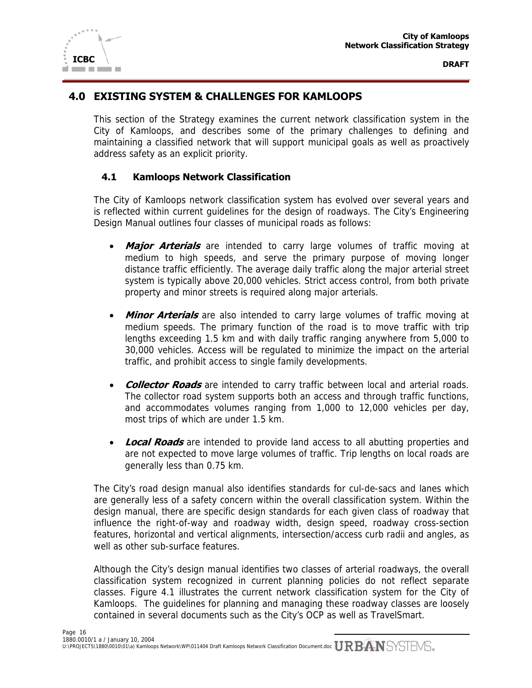



# **4.0 EXISTING SYSTEM & CHALLENGES FOR KAMLOOPS**

This section of the Strategy examines the current network classification system in the City of Kamloops, and describes some of the primary challenges to defining and maintaining a classified network that will support municipal goals as well as proactively address safety as an explicit priority.

## **4.1 Kamloops Network Classification**

**ICBC** 

**The Common** 

The City of Kamloops network classification system has evolved over several years and is reflected within current guidelines for the design of roadways. The City's Engineering Design Manual outlines four classes of municipal roads as follows:

- **Major Arterials** are intended to carry large volumes of traffic moving at medium to high speeds, and serve the primary purpose of moving longer distance traffic efficiently. The average daily traffic along the major arterial street system is typically above 20,000 vehicles. Strict access control, from both private property and minor streets is required along major arterials.
- **Minor Arterials** are also intended to carry large volumes of traffic moving at medium speeds. The primary function of the road is to move traffic with trip lengths exceeding 1.5 km and with daily traffic ranging anywhere from 5,000 to 30,000 vehicles. Access will be regulated to minimize the impact on the arterial traffic, and prohibit access to single family developments.
- **Collector Roads** are intended to carry traffic between local and arterial roads. The collector road system supports both an access and through traffic functions, and accommodates volumes ranging from 1,000 to 12,000 vehicles per day, most trips of which are under 1.5 km.
- **Local Roads** are intended to provide land access to all abutting properties and are not expected to move large volumes of traffic. Trip lengths on local roads are generally less than 0.75 km.

The City's road design manual also identifies standards for cul-de-sacs and lanes which are generally less of a safety concern within the overall classification system. Within the design manual, there are specific design standards for each given class of roadway that influence the right-of-way and roadway width, design speed, roadway cross-section features, horizontal and vertical alignments, intersection/access curb radii and angles, as well as other sub-surface features.

Although the City's design manual identifies two classes of arterial roadways, the overall classification system recognized in current planning policies do not reflect separate classes. Figure 4.1 illustrates the current network classification system for the City of Kamloops. The guidelines for planning and managing these roadway classes are loosely contained in several documents such as the City's OCP as well as TravelSmart.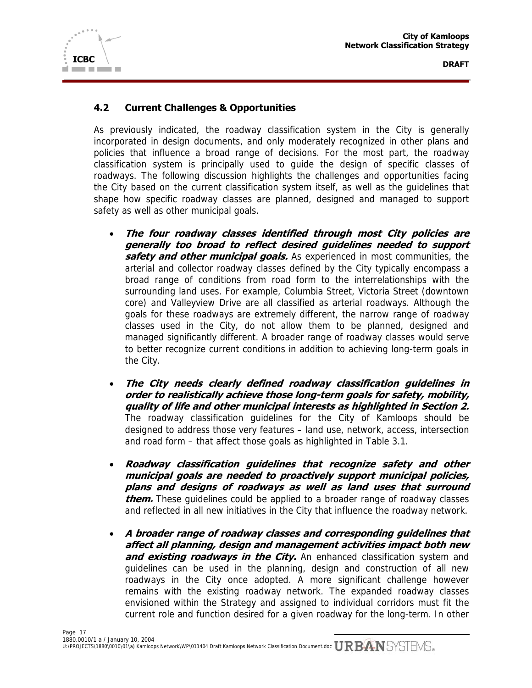

# **4.2 Current Challenges & Opportunities**

As previously indicated, the roadway classification system in the City is generally incorporated in design documents, and only moderately recognized in other plans and policies that influence a broad range of decisions. For the most part, the roadway classification system is principally used to guide the design of specific classes of roadways. The following discussion highlights the challenges and opportunities facing the City based on the current classification system itself, as well as the guidelines that shape how specific roadway classes are planned, designed and managed to support safety as well as other municipal goals.

- **The four roadway classes identified through most City policies are generally too broad to reflect desired guidelines needed to support safety and other municipal goals.** As experienced in most communities, the arterial and collector roadway classes defined by the City typically encompass a broad range of conditions from road form to the interrelationships with the surrounding land uses. For example, Columbia Street, Victoria Street (downtown core) and Valleyview Drive are all classified as arterial roadways. Although the goals for these roadways are extremely different, the narrow range of roadway classes used in the City, do not allow them to be planned, designed and managed significantly different. A broader range of roadway classes would serve to better recognize current conditions in addition to achieving long-term goals in the City.
- **The City needs clearly defined roadway classification guidelines in order to realistically achieve those long-term goals for safety, mobility, quality of life and other municipal interests as highlighted in Section 2.**  The roadway classification guidelines for the City of Kamloops should be designed to address those very features – land use, network, access, intersection and road form – that affect those goals as highlighted in Table 3.1.
- **Roadway classification guidelines that recognize safety and other municipal goals are needed to proactively support municipal policies, plans and designs of roadways as well as land uses that surround them.** These guidelines could be applied to a broader range of roadway classes and reflected in all new initiatives in the City that influence the roadway network.
- **A broader range of roadway classes and corresponding guidelines that affect all planning, design and management activities impact both new and existing roadways in the City.** An enhanced classification system and guidelines can be used in the planning, design and construction of all new roadways in the City once adopted. A more significant challenge however remains with the existing roadway network. The expanded roadway classes envisioned within the Strategy and assigned to individual corridors must fit the current role and function desired for a given roadway for the long-term. In other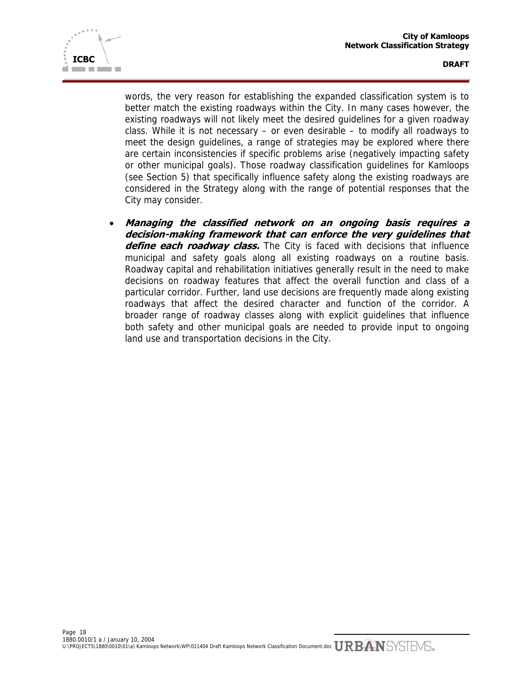



words, the very reason for establishing the expanded classification system is to better match the existing roadways within the City. In many cases however, the existing roadways will not likely meet the desired guidelines for a given roadway class. While it is not necessary – or even desirable – to modify all roadways to meet the design guidelines, a range of strategies may be explored where there are certain inconsistencies if specific problems arise (negatively impacting safety or other municipal goals). Those roadway classification guidelines for Kamloops (see Section 5) that specifically influence safety along the existing roadways are considered in the Strategy along with the range of potential responses that the City may consider.

• **Managing the classified network on an ongoing basis requires a decision-making framework that can enforce the very guidelines that**  define each roadway class. The City is faced with decisions that influence municipal and safety goals along all existing roadways on a routine basis. Roadway capital and rehabilitation initiatives generally result in the need to make decisions on roadway features that affect the overall function and class of a particular corridor. Further, land use decisions are frequently made along existing roadways that affect the desired character and function of the corridor. A broader range of roadway classes along with explicit guidelines that influence both safety and other municipal goals are needed to provide input to ongoing land use and transportation decisions in the City.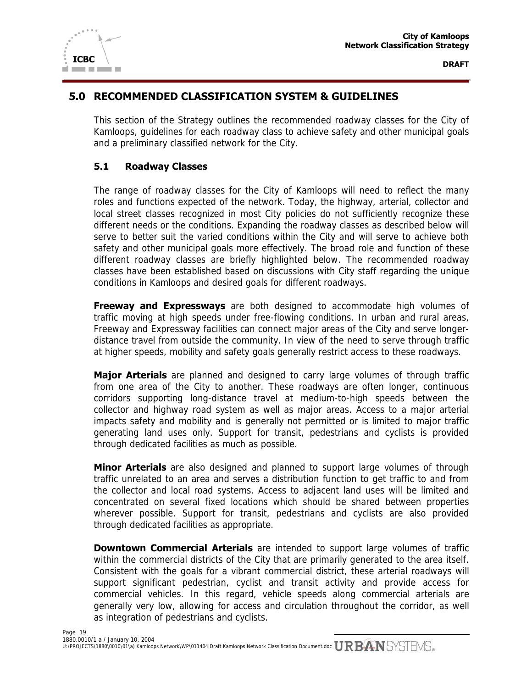

# **5.0 RECOMMENDED CLASSIFICATION SYSTEM & GUIDELINES**

This section of the Strategy outlines the recommended roadway classes for the City of Kamloops, guidelines for each roadway class to achieve safety and other municipal goals and a preliminary classified network for the City.

## **5.1 Roadway Classes**

The range of roadway classes for the City of Kamloops will need to reflect the many roles and functions expected of the network. Today, the highway, arterial, collector and local street classes recognized in most City policies do not sufficiently recognize these different needs or the conditions. Expanding the roadway classes as described below will serve to better suit the varied conditions within the City and will serve to achieve both safety and other municipal goals more effectively. The broad role and function of these different roadway classes are briefly highlighted below. The recommended roadway classes have been established based on discussions with City staff regarding the unique conditions in Kamloops and desired goals for different roadways.

**Freeway and Expressways** are both designed to accommodate high volumes of traffic moving at high speeds under free-flowing conditions. In urban and rural areas, Freeway and Expressway facilities can connect major areas of the City and serve longerdistance travel from outside the community. In view of the need to serve through traffic at higher speeds, mobility and safety goals generally restrict access to these roadways.

**Major Arterials** are planned and designed to carry large volumes of through traffic from one area of the City to another. These roadways are often longer, continuous corridors supporting long-distance travel at medium-to-high speeds between the collector and highway road system as well as major areas. Access to a major arterial impacts safety and mobility and is generally not permitted or is limited to major traffic generating land uses only. Support for transit, pedestrians and cyclists is provided through dedicated facilities as much as possible.

**Minor Arterials** are also designed and planned to support large volumes of through traffic unrelated to an area and serves a distribution function to get traffic to and from the collector and local road systems. Access to adjacent land uses will be limited and concentrated on several fixed locations which should be shared between properties wherever possible. Support for transit, pedestrians and cyclists are also provided through dedicated facilities as appropriate.

**Downtown Commercial Arterials** are intended to support large volumes of traffic within the commercial districts of the City that are primarily generated to the area itself. Consistent with the goals for a vibrant commercial district, these arterial roadways will support significant pedestrian, cyclist and transit activity and provide access for commercial vehicles. In this regard, vehicle speeds along commercial arterials are generally very low, allowing for access and circulation throughout the corridor, as well as integration of pedestrians and cyclists.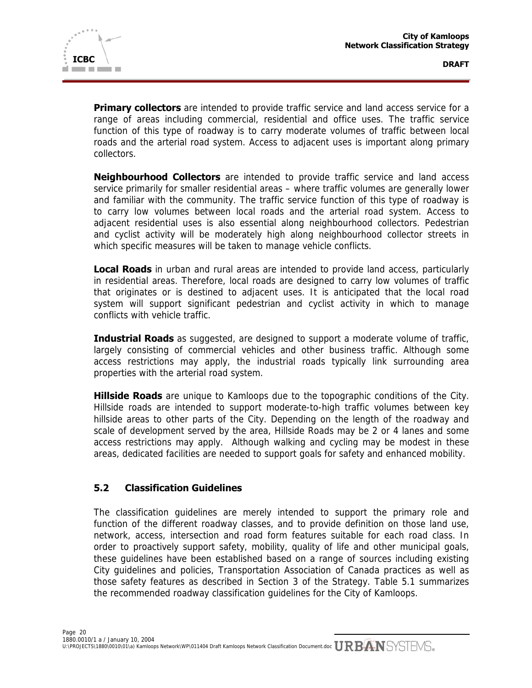

**Primary collectors** are intended to provide traffic service and land access service for a range of areas including commercial, residential and office uses. The traffic service function of this type of roadway is to carry moderate volumes of traffic between local roads and the arterial road system. Access to adjacent uses is important along primary collectors.

**Neighbourhood Collectors** are intended to provide traffic service and land access service primarily for smaller residential areas – where traffic volumes are generally lower and familiar with the community. The traffic service function of this type of roadway is to carry low volumes between local roads and the arterial road system. Access to adjacent residential uses is also essential along neighbourhood collectors. Pedestrian and cyclist activity will be moderately high along neighbourhood collector streets in which specific measures will be taken to manage vehicle conflicts.

**Local Roads** in urban and rural areas are intended to provide land access, particularly in residential areas. Therefore, local roads are designed to carry low volumes of traffic that originates or is destined to adjacent uses. It is anticipated that the local road system will support significant pedestrian and cyclist activity in which to manage conflicts with vehicle traffic.

**Industrial Roads** as suggested, are designed to support a moderate volume of traffic, largely consisting of commercial vehicles and other business traffic. Although some access restrictions may apply, the industrial roads typically link surrounding area properties with the arterial road system.

**Hillside Roads** are unique to Kamloops due to the topographic conditions of the City. Hillside roads are intended to support moderate-to-high traffic volumes between key hillside areas to other parts of the City. Depending on the length of the roadway and scale of development served by the area, Hillside Roads may be 2 or 4 lanes and some access restrictions may apply. Although walking and cycling may be modest in these areas, dedicated facilities are needed to support goals for safety and enhanced mobility.

## **5.2 Classification Guidelines**

The classification guidelines are merely intended to support the primary role and function of the different roadway classes, and to provide definition on those land use, network, access, intersection and road form features suitable for each road class. In order to proactively support safety, mobility, quality of life and other municipal goals, these guidelines have been established based on a range of sources including existing City guidelines and policies, Transportation Association of Canada practices as well as those safety features as described in Section 3 of the Strategy. Table 5.1 summarizes the recommended roadway classification guidelines for the City of Kamloops.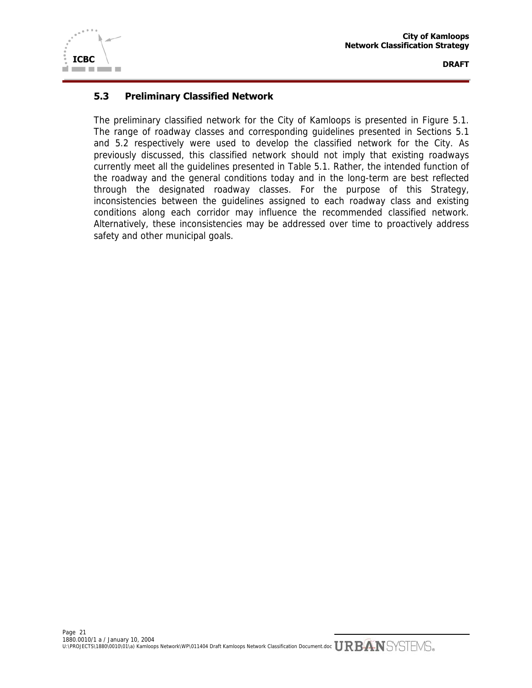

# **5.3 Preliminary Classified Network**

The preliminary classified network for the City of Kamloops is presented in Figure 5.1. The range of roadway classes and corresponding guidelines presented in Sections 5.1 and 5.2 respectively were used to develop the classified network for the City. As previously discussed, this classified network should not imply that existing roadways currently meet all the guidelines presented in Table 5.1. Rather, the intended function of the roadway and the general conditions today and in the long-term are best reflected through the designated roadway classes. For the purpose of this Strategy, inconsistencies between the guidelines assigned to each roadway class and existing conditions along each corridor may influence the recommended classified network. Alternatively, these inconsistencies may be addressed over time to proactively address safety and other municipal goals.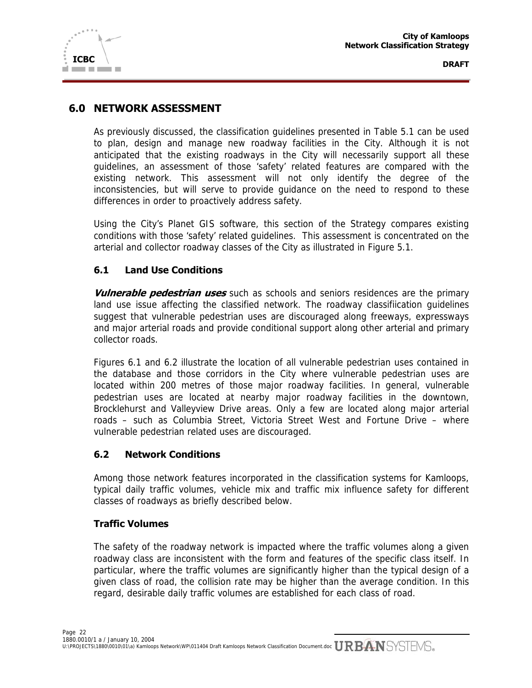

# **6.0 NETWORK ASSESSMENT**

As previously discussed, the classification guidelines presented in Table 5.1 can be used to plan, design and manage new roadway facilities in the City. Although it is not anticipated that the existing roadways in the City will necessarily support all these guidelines, an assessment of those 'safety' related features are compared with the existing network. This assessment will not only identify the degree of the inconsistencies, but will serve to provide guidance on the need to respond to these differences in order to proactively address safety.

Using the City's Planet GIS software, this section of the Strategy compares existing conditions with those 'safety' related guidelines. This assessment is concentrated on the arterial and collector roadway classes of the City as illustrated in Figure 5.1.

# **6.1 Land Use Conditions**

**Vulnerable pedestrian uses** such as schools and seniors residences are the primary land use issue affecting the classified network. The roadway classifiication guidelines suggest that vulnerable pedestrian uses are discouraged along freeways, expressways and major arterial roads and provide conditional support along other arterial and primary collector roads.

Figures 6.1 and 6.2 illustrate the location of all vulnerable pedestrian uses contained in the database and those corridors in the City where vulnerable pedestrian uses are located within 200 metres of those major roadway facilities. In general, vulnerable pedestrian uses are located at nearby major roadway facilities in the downtown, Brocklehurst and Valleyview Drive areas. Only a few are located along major arterial roads – such as Columbia Street, Victoria Street West and Fortune Drive – where vulnerable pedestrian related uses are discouraged.

## **6.2 Network Conditions**

Among those network features incorporated in the classification systems for Kamloops, typical daily traffic volumes, vehicle mix and traffic mix influence safety for different classes of roadways as briefly described below.

## **Traffic Volumes**

The safety of the roadway network is impacted where the traffic volumes along a given roadway class are inconsistent with the form and features of the specific class itself. In particular, where the traffic volumes are significantly higher than the typical design of a given class of road, the collision rate may be higher than the average condition. In this regard, desirable daily traffic volumes are established for each class of road.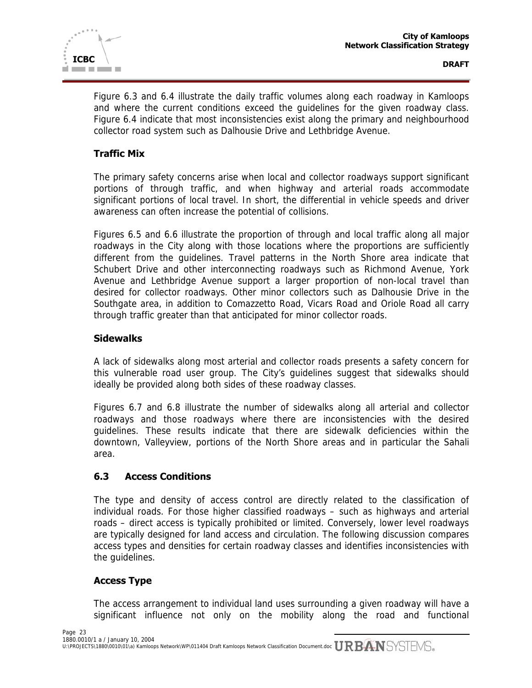

Figure 6.3 and 6.4 illustrate the daily traffic volumes along each roadway in Kamloops and where the current conditions exceed the guidelines for the given roadway class. Figure 6.4 indicate that most inconsistencies exist along the primary and neighbourhood collector road system such as Dalhousie Drive and Lethbridge Avenue.

# **Traffic Mix**

The primary safety concerns arise when local and collector roadways support significant portions of through traffic, and when highway and arterial roads accommodate significant portions of local travel. In short, the differential in vehicle speeds and driver awareness can often increase the potential of collisions.

Figures 6.5 and 6.6 illustrate the proportion of through and local traffic along all major roadways in the City along with those locations where the proportions are sufficiently different from the guidelines. Travel patterns in the North Shore area indicate that Schubert Drive and other interconnecting roadways such as Richmond Avenue, York Avenue and Lethbridge Avenue support a larger proportion of non-local travel than desired for collector roadways. Other minor collectors such as Dalhousie Drive in the Southgate area, in addition to Comazzetto Road, Vicars Road and Oriole Road all carry through traffic greater than that anticipated for minor collector roads.

## **Sidewalks**

A lack of sidewalks along most arterial and collector roads presents a safety concern for this vulnerable road user group. The City's guidelines suggest that sidewalks should ideally be provided along both sides of these roadway classes.

Figures 6.7 and 6.8 illustrate the number of sidewalks along all arterial and collector roadways and those roadways where there are inconsistencies with the desired guidelines. These results indicate that there are sidewalk deficiencies within the downtown, Valleyview, portions of the North Shore areas and in particular the Sahali area.

## **6.3 Access Conditions**

The type and density of access control are directly related to the classification of individual roads. For those higher classified roadways – such as highways and arterial roads – direct access is typically prohibited or limited. Conversely, lower level roadways are typically designed for land access and circulation. The following discussion compares access types and densities for certain roadway classes and identifies inconsistencies with the guidelines.

# **Access Type**

The access arrangement to individual land uses surrounding a given roadway will have a significant influence not only on the mobility along the road and functional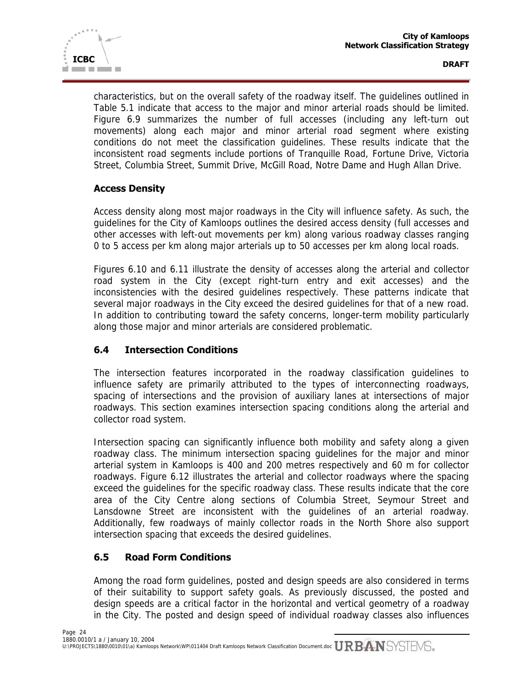

characteristics, but on the overall safety of the roadway itself. The guidelines outlined in Table 5.1 indicate that access to the major and minor arterial roads should be limited. Figure 6.9 summarizes the number of full accesses (including any left-turn out movements) along each major and minor arterial road segment where existing conditions do not meet the classification guidelines. These results indicate that the inconsistent road segments include portions of Tranquille Road, Fortune Drive, Victoria Street, Columbia Street, Summit Drive, McGill Road, Notre Dame and Hugh Allan Drive.

# **Access Density**

Access density along most major roadways in the City will influence safety. As such, the guidelines for the City of Kamloops outlines the desired access density (full accesses and other accesses with left-out movements per km) along various roadway classes ranging 0 to 5 access per km along major arterials up to 50 accesses per km along local roads.

Figures 6.10 and 6.11 illustrate the density of accesses along the arterial and collector road system in the City (except right-turn entry and exit accesses) and the inconsistencies with the desired guidelines respectively. These patterns indicate that several major roadways in the City exceed the desired guidelines for that of a new road. In addition to contributing toward the safety concerns, longer-term mobility particularly along those major and minor arterials are considered problematic.

# **6.4 Intersection Conditions**

The intersection features incorporated in the roadway classification guidelines to influence safety are primarily attributed to the types of interconnecting roadways, spacing of intersections and the provision of auxiliary lanes at intersections of major roadways. This section examines intersection spacing conditions along the arterial and collector road system.

Intersection spacing can significantly influence both mobility and safety along a given roadway class. The minimum intersection spacing guidelines for the major and minor arterial system in Kamloops is 400 and 200 metres respectively and 60 m for collector roadways. Figure 6.12 illustrates the arterial and collector roadways where the spacing exceed the guidelines for the specific roadway class. These results indicate that the core area of the City Centre along sections of Columbia Street, Seymour Street and Lansdowne Street are inconsistent with the guidelines of an arterial roadway. Additionally, few roadways of mainly collector roads in the North Shore also support intersection spacing that exceeds the desired guidelines.

# **6.5 Road Form Conditions**

Among the road form guidelines, posted and design speeds are also considered in terms of their suitability to support safety goals. As previously discussed, the posted and design speeds are a critical factor in the horizontal and vertical geometry of a roadway in the City. The posted and design speed of individual roadway classes also influences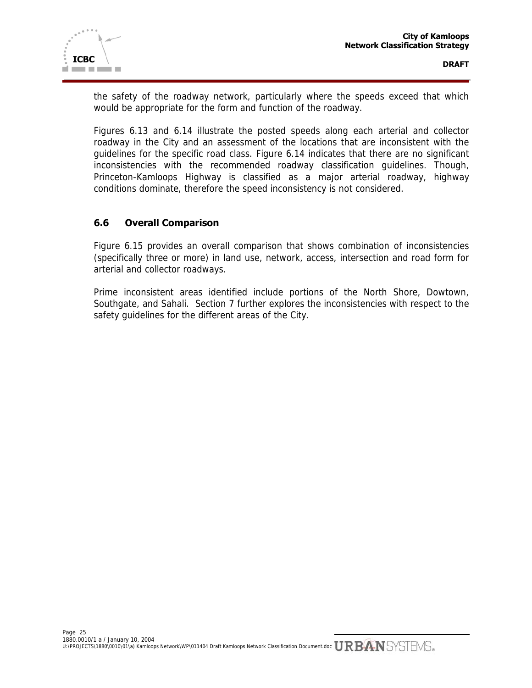

the safety of the roadway network, particularly where the speeds exceed that which would be appropriate for the form and function of the roadway.

Figures 6.13 and 6.14 illustrate the posted speeds along each arterial and collector roadway in the City and an assessment of the locations that are inconsistent with the guidelines for the specific road class. Figure 6.14 indicates that there are no significant inconsistencies with the recommended roadway classification guidelines. Though, Princeton-Kamloops Highway is classified as a major arterial roadway, highway conditions dominate, therefore the speed inconsistency is not considered.

# **6.6 Overall Comparison**

Figure 6.15 provides an overall comparison that shows combination of inconsistencies (specifically three or more) in land use, network, access, intersection and road form for arterial and collector roadways.

Prime inconsistent areas identified include portions of the North Shore, Dowtown, Southgate, and Sahali. Section 7 further explores the inconsistencies with respect to the safety guidelines for the different areas of the City.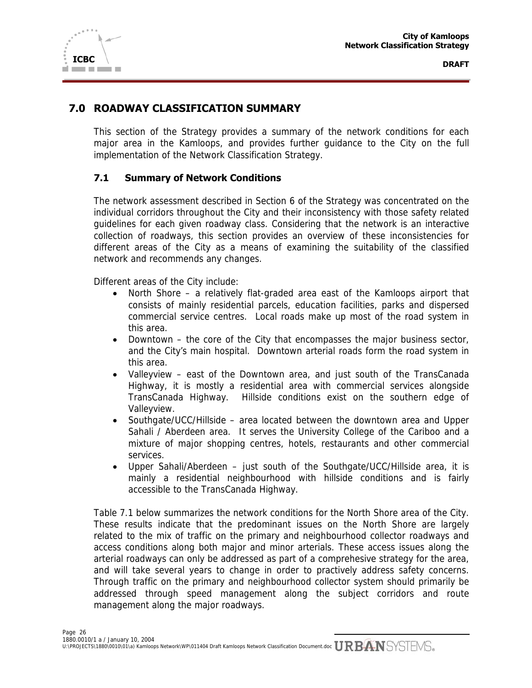

# **7.0 ROADWAY CLASSIFICATION SUMMARY**

This section of the Strategy provides a summary of the network conditions for each major area in the Kamloops, and provides further guidance to the City on the full implementation of the Network Classification Strategy.

#### **7.1 Summary of Network Conditions**

The network assessment described in Section 6 of the Strategy was concentrated on the individual corridors throughout the City and their inconsistency with those safety related guidelines for each given roadway class. Considering that the network is an interactive collection of roadways, this section provides an overview of these inconsistencies for different areas of the City as a means of examining the suitability of the classified network and recommends any changes.

Different areas of the City include:

- North Shore a relatively flat-graded area east of the Kamloops airport that consists of mainly residential parcels, education facilities, parks and dispersed commercial service centres. Local roads make up most of the road system in this area.
- Downtown the core of the City that encompasses the major business sector, and the City's main hospital. Downtown arterial roads form the road system in this area.
- Valleyview east of the Downtown area, and just south of the TransCanada Highway, it is mostly a residential area with commercial services alongside TransCanada Highway. Hillside conditions exist on the southern edge of Valleyview.
- Southgate/UCC/Hillside area located between the downtown area and Upper Sahali / Aberdeen area. It serves the University College of the Cariboo and a mixture of major shopping centres, hotels, restaurants and other commercial services.
- Upper Sahali/Aberdeen just south of the Southgate/UCC/Hillside area, it is mainly a residential neighbourhood with hillside conditions and is fairly accessible to the TransCanada Highway.

Table 7.1 below summarizes the network conditions for the North Shore area of the City. These results indicate that the predominant issues on the North Shore are largely related to the mix of traffic on the primary and neighbourhood collector roadways and access conditions along both major and minor arterials. These access issues along the arterial roadways can only be addressed as part of a comprehesive strategy for the area, and will take several years to change in order to practively address safety concerns. Through traffic on the primary and neighbourhood collector system should primarily be addressed through speed management along the subject corridors and route management along the major roadways.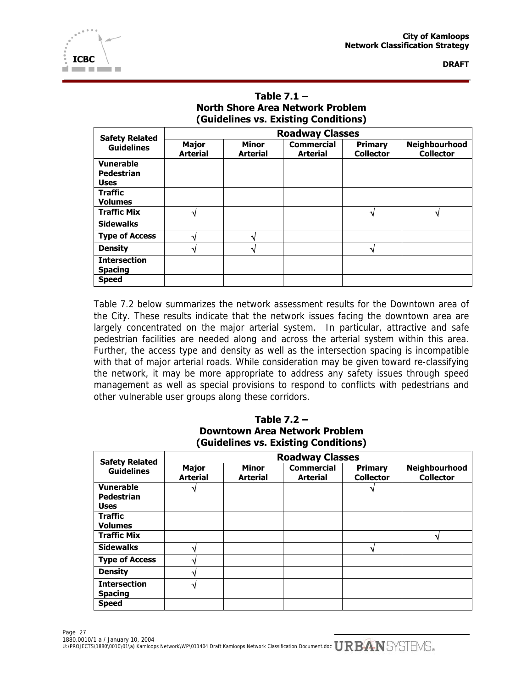| Table $7.1 -$                           |
|-----------------------------------------|
| <b>North Shore Area Network Problem</b> |
| (Guidelines vs. Existing Conditions)    |

| <b>Safety Related</b>                 | <b>Roadway Classes</b>          |                                 |                                      |                             |                                   |
|---------------------------------------|---------------------------------|---------------------------------|--------------------------------------|-----------------------------|-----------------------------------|
| <b>Guidelines</b>                     | <b>Major</b><br><b>Arterial</b> | <b>Minor</b><br><b>Arterial</b> | <b>Commercial</b><br><b>Arterial</b> | Primary<br><b>Collector</b> | Neighbourhood<br><b>Collector</b> |
| <b>Vunerable</b>                      |                                 |                                 |                                      |                             |                                   |
| <b>Pedestrian</b><br><b>Uses</b>      |                                 |                                 |                                      |                             |                                   |
| <b>Traffic</b>                        |                                 |                                 |                                      |                             |                                   |
| <b>Volumes</b>                        |                                 |                                 |                                      |                             |                                   |
| <b>Traffic Mix</b>                    |                                 |                                 |                                      |                             | 4                                 |
| <b>Sidewalks</b>                      |                                 |                                 |                                      |                             |                                   |
| <b>Type of Access</b>                 |                                 |                                 |                                      |                             |                                   |
| <b>Density</b>                        |                                 |                                 |                                      |                             |                                   |
| <b>Intersection</b><br><b>Spacing</b> |                                 |                                 |                                      |                             |                                   |
| <b>Speed</b>                          |                                 |                                 |                                      |                             |                                   |

Table 7.2 below summarizes the network assessment results for the Downtown area of the City. These results indicate that the network issues facing the downtown area are largely concentrated on the major arterial system. In particular, attractive and safe pedestrian facilities are needed along and across the arterial system within this area. Further, the access type and density as well as the intersection spacing is incompatible with that of major arterial roads. While consideration may be given toward re-classifying the network, it may be more appropriate to address any safety issues through speed management as well as special provisions to respond to conflicts with pedestrians and other vulnerable user groups along these corridors.

| Table $7.2 -$                        |
|--------------------------------------|
| <b>Downtown Area Network Problem</b> |
| (Guidelines vs. Existing Conditions) |

| <b>Safety Related</b> | <b>Roadway Classes</b>          |                                 |                                      |                             |                                   |
|-----------------------|---------------------------------|---------------------------------|--------------------------------------|-----------------------------|-----------------------------------|
| <b>Guidelines</b>     | <b>Major</b><br><b>Arterial</b> | <b>Minor</b><br><b>Arterial</b> | <b>Commercial</b><br><b>Arterial</b> | Primary<br><b>Collector</b> | Neighbourhood<br><b>Collector</b> |
| <b>Vunerable</b>      |                                 |                                 |                                      |                             |                                   |
| Pedestrian            |                                 |                                 |                                      |                             |                                   |
| <b>Uses</b>           |                                 |                                 |                                      |                             |                                   |
| <b>Traffic</b>        |                                 |                                 |                                      |                             |                                   |
| <b>Volumes</b>        |                                 |                                 |                                      |                             |                                   |
| <b>Traffic Mix</b>    |                                 |                                 |                                      |                             |                                   |
| <b>Sidewalks</b>      |                                 |                                 |                                      | ٩.                          |                                   |
| <b>Type of Access</b> |                                 |                                 |                                      |                             |                                   |
| <b>Density</b>        |                                 |                                 |                                      |                             |                                   |
| <b>Intersection</b>   |                                 |                                 |                                      |                             |                                   |
| <b>Spacing</b>        |                                 |                                 |                                      |                             |                                   |
| <b>Speed</b>          |                                 |                                 |                                      |                             |                                   |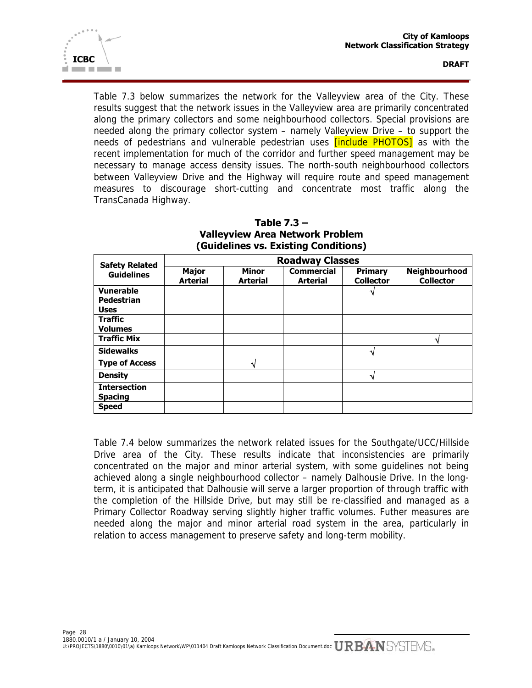

Table 7.3 below summarizes the network for the Valleyview area of the City. These results suggest that the network issues in the Valleyview area are primarily concentrated along the primary collectors and some neighbourhood collectors. Special provisions are needed along the primary collector system – namely Valleyview Drive – to support the needs of pedestrians and vulnerable pedestrian uses **[include PHOTOS]** as with the recent implementation for much of the corridor and further speed management may be necessary to manage access density issues. The north-south neighbourhood collectors between Valleyview Drive and the Highway will require route and speed management measures to discourage short-cutting and concentrate most traffic along the TransCanada Highway.

| <b>Safety Related</b> | <b>Roadway Classes</b>          |                                 |                                      |                                    |                                          |  |  |
|-----------------------|---------------------------------|---------------------------------|--------------------------------------|------------------------------------|------------------------------------------|--|--|
| <b>Guidelines</b>     | <b>Major</b><br><b>Arterial</b> | <b>Minor</b><br><b>Arterial</b> | <b>Commercial</b><br><b>Arterial</b> | <b>Primary</b><br><b>Collector</b> | <b>Neighbourhood</b><br><b>Collector</b> |  |  |
| <b>Vunerable</b>      |                                 |                                 |                                      |                                    |                                          |  |  |
| Pedestrian            |                                 |                                 |                                      |                                    |                                          |  |  |
| <b>Uses</b>           |                                 |                                 |                                      |                                    |                                          |  |  |
| <b>Traffic</b>        |                                 |                                 |                                      |                                    |                                          |  |  |
| <b>Volumes</b>        |                                 |                                 |                                      |                                    |                                          |  |  |
| <b>Traffic Mix</b>    |                                 |                                 |                                      |                                    |                                          |  |  |
| <b>Sidewalks</b>      |                                 |                                 |                                      |                                    |                                          |  |  |
| <b>Type of Access</b> |                                 |                                 |                                      |                                    |                                          |  |  |
| <b>Density</b>        |                                 |                                 |                                      |                                    |                                          |  |  |
| <b>Intersection</b>   |                                 |                                 |                                      |                                    |                                          |  |  |
| <b>Spacing</b>        |                                 |                                 |                                      |                                    |                                          |  |  |
| <b>Speed</b>          |                                 |                                 |                                      |                                    |                                          |  |  |

**Table 7.3 – Valleyview Area Network Problem (Guidelines vs. Existing Conditions)**

Table 7.4 below summarizes the network related issues for the Southgate/UCC/Hillside Drive area of the City. These results indicate that inconsistencies are primarily concentrated on the major and minor arterial system, with some guidelines not being achieved along a single neighbourhood collector – namely Dalhousie Drive. In the longterm, it is anticipated that Dalhousie will serve a larger proportion of through traffic with the completion of the Hillside Drive, but may still be re-classified and managed as a Primary Collector Roadway serving slightly higher traffic volumes. Futher measures are needed along the major and minor arterial road system in the area, particularly in relation to access management to preserve safety and long-term mobility.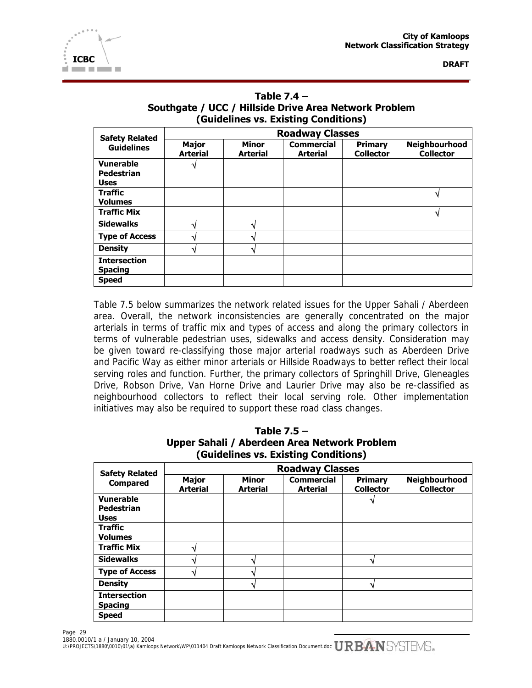

| Table $7.4 -$                                         |
|-------------------------------------------------------|
| Southgate / UCC / Hillside Drive Area Network Problem |
| (Guidelines vs. Existing Conditions)                  |

| <b>Safety Related</b><br><b>Guidelines</b>           | <b>Roadway Classes</b>          |                                 |                                      |                                    |                                   |  |  |
|------------------------------------------------------|---------------------------------|---------------------------------|--------------------------------------|------------------------------------|-----------------------------------|--|--|
|                                                      | <b>Major</b><br><b>Arterial</b> | <b>Minor</b><br><b>Arterial</b> | <b>Commercial</b><br><b>Arterial</b> | <b>Primary</b><br><b>Collector</b> | Neighbourhood<br><b>Collector</b> |  |  |
| <b>Vunerable</b><br><b>Pedestrian</b><br><b>Uses</b> |                                 |                                 |                                      |                                    |                                   |  |  |
| <b>Traffic</b><br><b>Volumes</b>                     |                                 |                                 |                                      |                                    |                                   |  |  |
| <b>Traffic Mix</b>                                   |                                 |                                 |                                      |                                    |                                   |  |  |
| <b>Sidewalks</b>                                     |                                 |                                 |                                      |                                    |                                   |  |  |
| <b>Type of Access</b>                                |                                 |                                 |                                      |                                    |                                   |  |  |
| <b>Density</b>                                       |                                 |                                 |                                      |                                    |                                   |  |  |
| <b>Intersection</b><br><b>Spacing</b>                |                                 |                                 |                                      |                                    |                                   |  |  |
| <b>Speed</b>                                         |                                 |                                 |                                      |                                    |                                   |  |  |

Table 7.5 below summarizes the network related issues for the Upper Sahali / Aberdeen area. Overall, the network inconsistencies are generally concentrated on the major arterials in terms of traffic mix and types of access and along the primary collectors in terms of vulnerable pedestrian uses, sidewalks and access density. Consideration may be given toward re-classifying those major arterial roadways such as Aberdeen Drive and Pacific Way as either minor arterials or Hillside Roadways to better reflect their local serving roles and function. Further, the primary collectors of Springhill Drive, Gleneagles Drive, Robson Drive, Van Horne Drive and Laurier Drive may also be re-classified as neighbourhood collectors to reflect their local serving role. Other implementation initiatives may also be required to support these road class changes.

| Table 7.5 $-$                        |                                              |  |  |  |  |  |  |
|--------------------------------------|----------------------------------------------|--|--|--|--|--|--|
|                                      | Upper Sahali / Aberdeen Area Network Problem |  |  |  |  |  |  |
| (Guidelines vs. Existing Conditions) |                                              |  |  |  |  |  |  |

| <b>Safety Related</b><br><b>Compared</b> | <b>Roadway Classes</b>          |                                 |                                      |                                    |                                   |  |  |
|------------------------------------------|---------------------------------|---------------------------------|--------------------------------------|------------------------------------|-----------------------------------|--|--|
|                                          | <b>Major</b><br><b>Arterial</b> | <b>Minor</b><br><b>Arterial</b> | <b>Commercial</b><br><b>Arterial</b> | <b>Primary</b><br><b>Collector</b> | Neighbourhood<br><b>Collector</b> |  |  |
| <b>Vunerable</b>                         |                                 |                                 |                                      |                                    |                                   |  |  |
| <b>Pedestrian</b>                        |                                 |                                 |                                      |                                    |                                   |  |  |
| <b>Uses</b>                              |                                 |                                 |                                      |                                    |                                   |  |  |
| <b>Traffic</b>                           |                                 |                                 |                                      |                                    |                                   |  |  |
| <b>Volumes</b>                           |                                 |                                 |                                      |                                    |                                   |  |  |
| <b>Traffic Mix</b>                       |                                 |                                 |                                      |                                    |                                   |  |  |
| <b>Sidewalks</b>                         |                                 |                                 |                                      |                                    |                                   |  |  |
| <b>Type of Access</b>                    |                                 |                                 |                                      |                                    |                                   |  |  |
| <b>Density</b>                           |                                 |                                 |                                      |                                    |                                   |  |  |
| <b>Intersection</b>                      |                                 |                                 |                                      |                                    |                                   |  |  |
| <b>Spacing</b>                           |                                 |                                 |                                      |                                    |                                   |  |  |
| <b>Speed</b>                             |                                 |                                 |                                      |                                    |                                   |  |  |

Page 29 1880.0010/1 a / January 10, 2004 1000.0010/1 a 7 January 10, 2004<br>U:\PROJECTS\1880\0010\01\a) Kamloops Network\WP\011404 Draft Kamloops Network Classification Document.doc  $URBAN$ SYSTEMS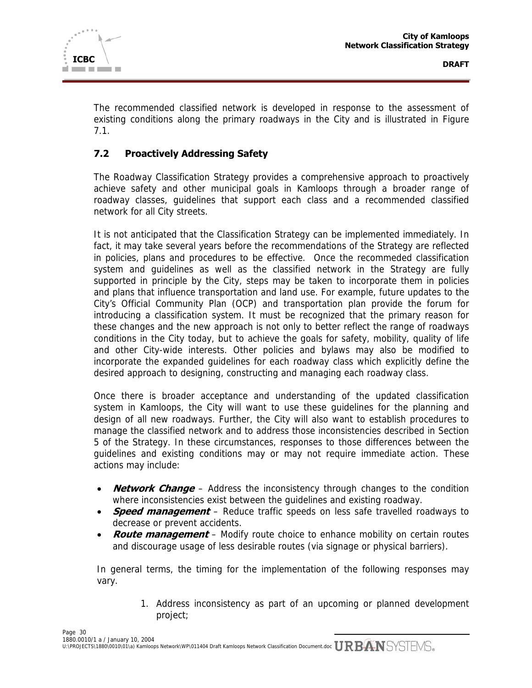

The recommended classified network is developed in response to the assessment of existing conditions along the primary roadways in the City and is illustrated in Figure 7.1.

# **7.2 Proactively Addressing Safety**

The Roadway Classification Strategy provides a comprehensive approach to proactively achieve safety and other municipal goals in Kamloops through a broader range of roadway classes, guidelines that support each class and a recommended classified network for all City streets.

It is not anticipated that the Classification Strategy can be implemented immediately. In fact, it may take several years before the recommendations of the Strategy are reflected in policies, plans and procedures to be effective. Once the recommeded classification system and guidelines as well as the classified network in the Strategy are fully supported in principle by the City, steps may be taken to incorporate them in policies and plans that influence transportation and land use. For example, future updates to the City's Official Community Plan (OCP) and transportation plan provide the forum for introducing a classification system. It must be recognized that the primary reason for these changes and the new approach is not only to better reflect the range of roadways conditions in the City today, but to achieve the goals for safety, mobility, quality of life and other City-wide interests. Other policies and bylaws may also be modified to incorporate the expanded guidelines for each roadway class which explicitly define the desired approach to designing, constructing and managing each roadway class.

Once there is broader acceptance and understanding of the updated classification system in Kamloops, the City will want to use these guidelines for the planning and design of all new roadways. Further, the City will also want to establish procedures to manage the classified network and to address those inconsistencies described in Section 5 of the Strategy. In these circumstances, responses to those differences between the guidelines and existing conditions may or may not require immediate action. These actions may include:

- **Network Change** Address the inconsistency through changes to the condition where inconsistencies exist between the guidelines and existing roadway.
- **Speed management** Reduce traffic speeds on less safe travelled roadways to decrease or prevent accidents.
- **Route management** Modify route choice to enhance mobility on certain routes and discourage usage of less desirable routes (via signage or physical barriers).

In general terms, the timing for the implementation of the following responses may vary.

> 1. Address inconsistency as part of an upcoming or planned development project;